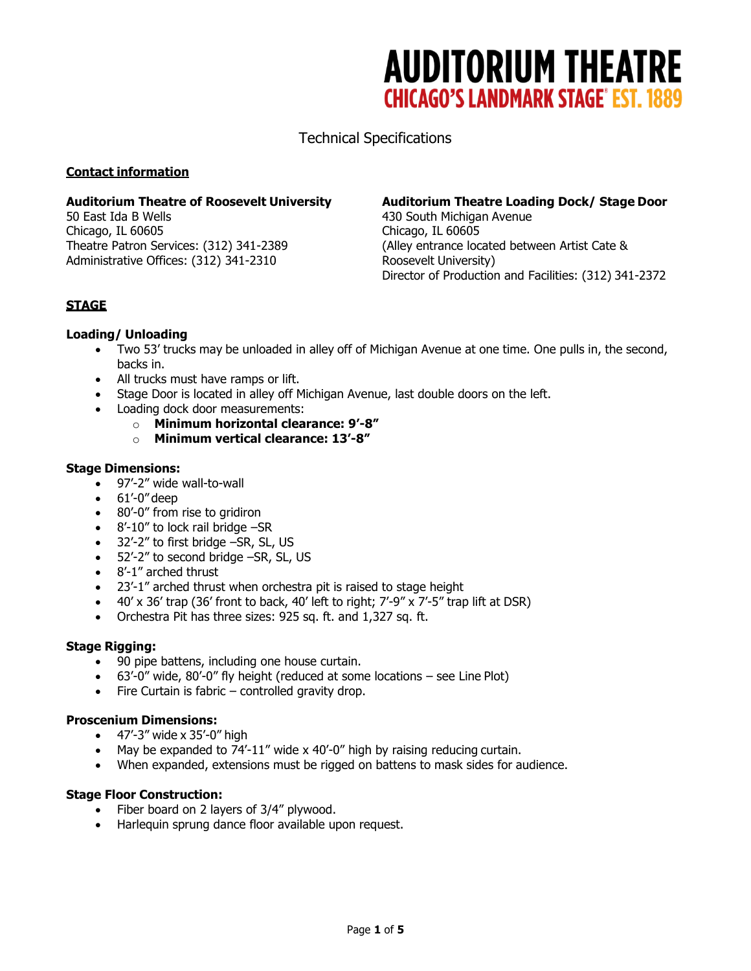Technical Specifications

## **Contact information**

50 East Ida B Wells 430 South Michigan Avenue Chicago, IL 60605 Chicago, IL 60605 Administrative Offices: (312) 341-2310 Roosevelt University)

## Auditorium Theatre of Roosevelt University **Auditorium Theatre Loading Dock/ Stage Door**

Theatre Patron Services: (312) 341-2389 (Alley entrance located between Artist Cate & Director of Production and Facilities: (312) 341-2372

## **STAGE**

## **Loading/ Unloading**

- Two 53' trucks may be unloaded in alley off of Michigan Avenue at one time. One pulls in, the second, backs in.
- All trucks must have ramps or lift.
- Stage Door is located in alley off Michigan Avenue, last double doors on the left.
- Loading dock door measurements:
	- o **Minimum horizontal clearance: 9'-8"**
	- o **Minimum vertical clearance: 13'-8"**

## **Stage Dimensions:**

- 97'-2" wide wall-to-wall
- $\bullet$  61'-0" deep
- 80'-0" from rise to gridiron
- 8'-10" to lock rail bridge -SR
- 32'-2" to first bridge -SR, SL, US
- 52'-2" to second bridge -SR, SL, US
- 8'-1" arched thrust
- 23'-1" arched thrust when orchestra pit is raised to stage height
- $\bullet$  40' x 36' trap (36' front to back, 40' left to right; 7'-9" x 7'-5" trap lift at DSR)
- Orchestra Pit has three sizes: 925 sq. ft. and 1,327 sq. ft.

## **Stage Rigging:**

- 90 pipe battens, including one house curtain.
- 63'-0" wide, 80'-0" fly height (reduced at some locations see Line Plot)
- Fire Curtain is fabric controlled gravity drop.

## **Proscenium Dimensions:**

- $\bullet$  47'-3" wide x 35'-0" high
- May be expanded to 74'-11" wide x 40'-0" high by raising reducing curtain.
- When expanded, extensions must be rigged on battens to mask sides for audience.

## **Stage Floor Construction:**

- Fiber board on 2 layers of 3/4" plywood.
- Harlequin sprung dance floor available upon request.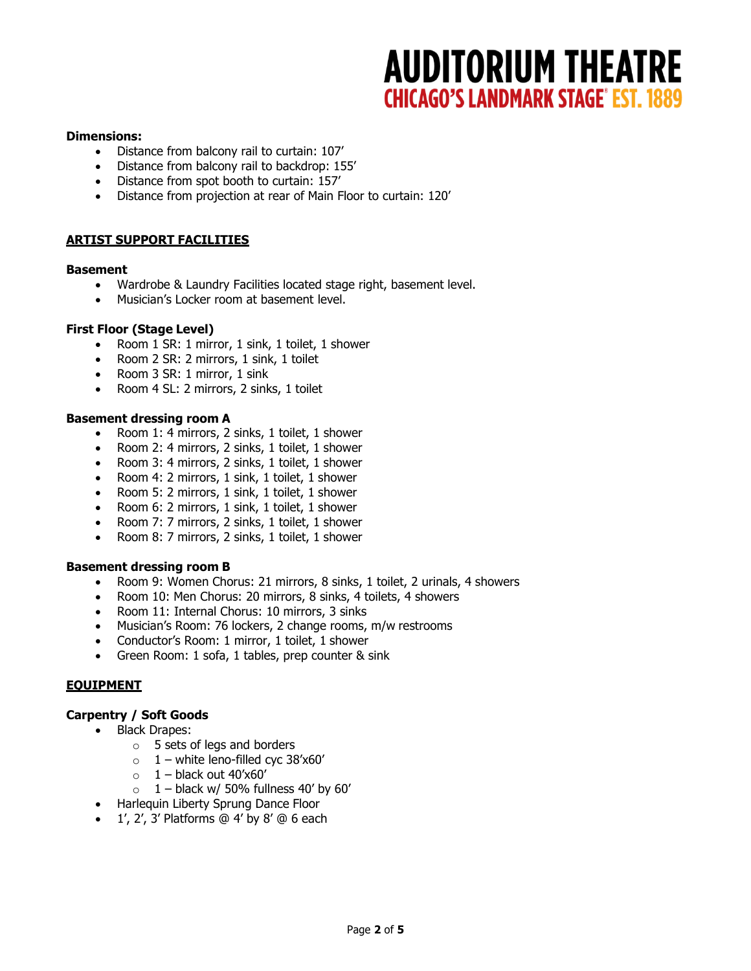#### **Dimensions:**

- Distance from balcony rail to curtain: 107'
- Distance from balcony rail to backdrop: 155'
- Distance from spot booth to curtain: 157'
- Distance from projection at rear of Main Floor to curtain: 120'

## **ARTIST SUPPORT FACILITIES**

#### **Basement**

- Wardrobe & Laundry Facilities located stage right, basement level.
- Musician's Locker room at basement level.

#### **First Floor (Stage Level)**

- Room 1 SR: 1 mirror, 1 sink, 1 toilet, 1 shower
- Room 2 SR: 2 mirrors, 1 sink, 1 toilet
- Room 3 SR: 1 mirror, 1 sink
- Room 4 SL: 2 mirrors, 2 sinks, 1 toilet

#### **Basement dressing room A**

- Room 1: 4 mirrors, 2 sinks, 1 toilet, 1 shower
- Room 2: 4 mirrors, 2 sinks, 1 toilet, 1 shower
- Room 3: 4 mirrors, 2 sinks, 1 toilet, 1 shower
- Room 4: 2 mirrors, 1 sink, 1 toilet, 1 shower
- Room 5: 2 mirrors, 1 sink, 1 toilet, 1 shower
- Room 6: 2 mirrors, 1 sink, 1 toilet, 1 shower
- Room 7: 7 mirrors, 2 sinks, 1 toilet, 1 shower
- Room 8: 7 mirrors, 2 sinks, 1 toilet, 1 shower

#### **Basement dressing room B**

- Room 9: Women Chorus: 21 mirrors, 8 sinks, 1 toilet, 2 urinals, 4 showers
- Room 10: Men Chorus: 20 mirrors, 8 sinks, 4 toilets, 4 showers
- Room 11: Internal Chorus: 10 mirrors, 3 sinks
- Musician's Room: 76 lockers, 2 change rooms, m/w restrooms
- Conductor's Room: 1 mirror, 1 toilet, 1 shower
- Green Room: 1 sofa, 1 tables, prep counter & sink

## **EQUIPMENT**

#### **Carpentry / Soft Goods**

- Black Drapes:
	- o 5 sets of legs and borders
	- $\circ$  1 white leno-filled cyc 38'x60'
	- $\circ$  1 black out 40'x60'
	- $\circ$  1 black w/ 50% fullness 40' by 60'
- Harlequin Liberty Sprung Dance Floor
- $\bullet$  1', 2', 3' Platforms @ 4' by 8' @ 6 each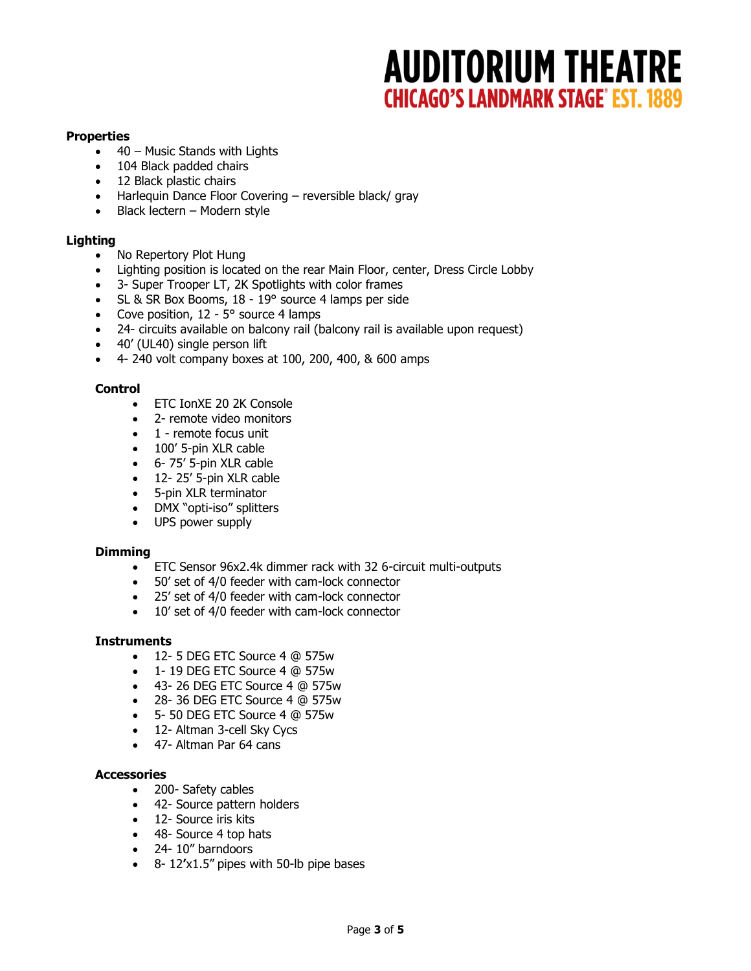## **Properties**

- 40 Music Stands with Lights
- 104 Black padded chairs
- 12 Black plastic chairs
- Harlequin Dance Floor Covering reversible black/ gray
- Black lectern Modern style

#### **Lighting**

- No Repertory Plot Hung
- Lighting position is located on the rear Main Floor, center, Dress Circle Lobby
- 3- Super Trooper LT, 2K Spotlights with color frames
- SL & SR Box Booms, 18 19° source 4 lamps per side
- Cove position,  $12 5^\circ$  source 4 lamps
- 24- circuits available on balcony rail (balcony rail is available upon request)
- 40' (UL40) single person lift
- 4- 240 volt company boxes at 100, 200, 400, & 600 amps

#### **Control**

- ETC IonXE 20 2K Console
- 2- remote video monitors
- 1 remote focus unit
- 100' 5-pin XLR cable
- 6- 75' 5-pin XLR cable
- 12-25' 5-pin XLR cable
- 5-pin XLR terminator
- DMX "opti-iso" splitters
- UPS power supply

#### **Dimming**

- ETC Sensor 96x2.4k dimmer rack with 32 6-circuit multi-outputs
- 50' set of 4/0 feeder with cam-lock connector
- 25' set of 4/0 feeder with cam-lock connector
- 10' set of 4/0 feeder with cam-lock connector

#### **Instruments**

- 12- 5 DEG ETC Source 4 @ 575w
- 1- 19 DEG ETC Source 4 @ 575w
- 43- 26 DEG ETC Source 4 @ 575w
- 28- 36 DEG ETC Source 4 @ 575w
- 5- 50 DEG ETC Source 4 @ 575w
- 12- Altman 3-cell Sky Cycs
- 47- Altman Par 64 cans

#### **Accessories**

- 200- Safety cables
- 42- Source pattern holders
- 12- Source iris kits
- 48- Source 4 top hats
- 24- 10" barndoors
- 8- 12**'**x1.5" pipes with 50-lb pipe bases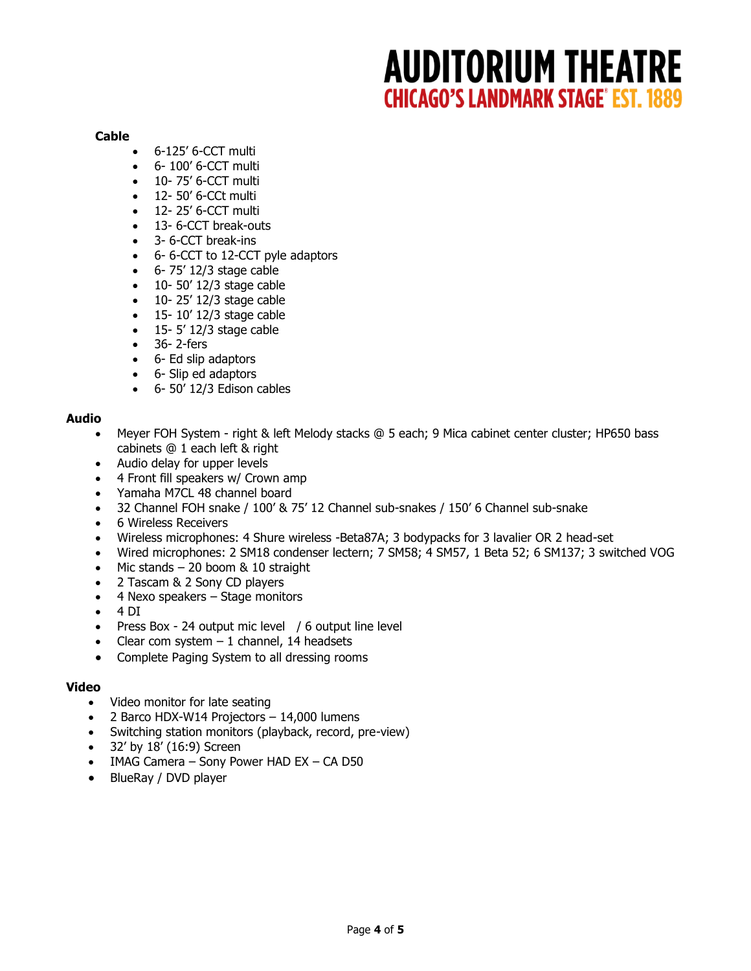#### **Cable**

- 6-125' 6-CCT multi
- $6 100'$  6-CCT multi
- 10-75' 6-CCT multi
- 12- 50' 6-CCt multi
- 12- 25' 6-CCT multi
- 13- 6-CCT break-outs
- 3- 6-CCT break-ins
- 6- 6-CCT to 12-CCT pyle adaptors
- $-6$  75' 12/3 stage cable
- $\bullet$  10- 50' 12/3 stage cable
- $\bullet$  10-25' 12/3 stage cable
- $\bullet$  15- 10' 12/3 stage cable
- $\bullet$  15- 5' 12/3 stage cable
- 36- 2-fers
- 6- Ed slip adaptors
- 6- Slip ed adaptors
- $-6$  50' 12/3 Edison cables

## **Audio**

- Meyer FOH System right & left Melody stacks @ 5 each; 9 Mica cabinet center cluster; HP650 bass cabinets @ 1 each left & right
- Audio delay for upper levels
- 4 Front fill speakers w/ Crown amp
- Yamaha M7CL 48 channel board
- 32 Channel FOH snake / 100' & 75' 12 Channel sub-snakes / 150' 6 Channel sub-snake
- 6 Wireless Receivers
- Wireless microphones: 4 Shure wireless -Beta87A; 3 bodypacks for 3 lavalier OR 2 head-set
- Wired microphones: 2 SM18 condenser lectern; 7 SM58; 4 SM57, 1 Beta 52; 6 SM137; 3 switched VOG
- $\bullet$  Mic stands 20 boom & 10 straight
- 2 Tascam & 2 Sony CD players
- 4 Nexo speakers Stage monitors
- $\bullet$  4 DI
- Press Box 24 output mic level / 6 output line level
- Clear com system  $-1$  channel, 14 headsets
- Complete Paging System to all dressing rooms

## **Video**

- Video monitor for late seating
- 2 Barco HDX-W14 Projectors 14,000 lumens
- Switching station monitors (playback, record, pre-view)
- 32' by 18' (16:9) Screen
- IMAG Camera Sony Power HAD EX CA D50
- BlueRay / DVD player